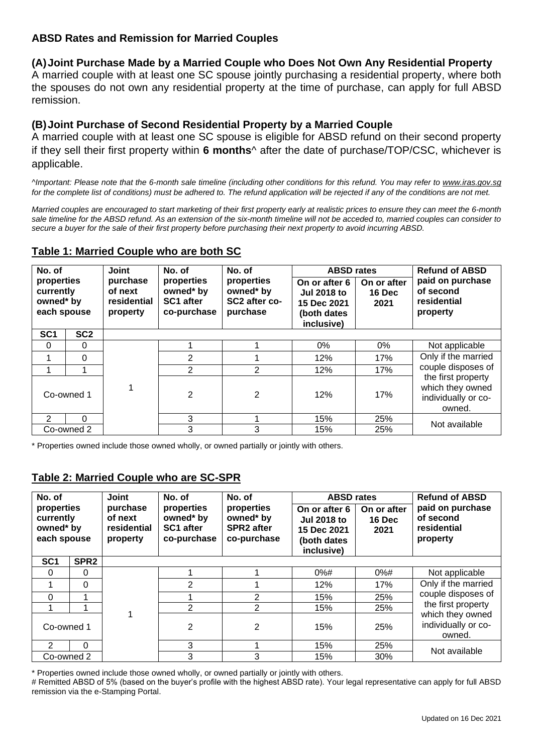## **ABSD Rates and Remission for Married Couples**

### **(A)Joint Purchase Made by a Married Couple who Does Not Own Any Residential Property**

A married couple with at least one SC spouse jointly purchasing a residential property, where both the spouses do not own any residential property at the time of purchase, can apply for full ABSD remission.

### **(B)Joint Purchase of Second Residential Property by a Married Couple**

A married couple with at least one SC spouse is eligible for ABSD refund on their second property if they sell their first property within **6 months**^ after the date of purchase/TOP/CSC, whichever is applicable.

*^Important: Please note that the 6-month sale timeline (including other conditions for this refund. You may refer to [www.iras.gov.sg](http://www.iras.gov.sg/) for the complete list of conditions) must be adhered to. The refund application will be rejected if any of the conditions are not met.* 

*Married couples are encouraged to start marketing of their first property early at realistic prices to ensure they can meet the 6-month sale timeline for the ABSD refund. As an extension of the six-month timeline will not be acceded to, married couples can consider to secure a buyer for the sale of their first property before purchasing their next property to avoid incurring ABSD.* 

| No. of                                              |                 | <b>Joint</b>                                   | No. of                                              | No. of                                               | <b>ABSD rates</b>                                                               |                               | <b>Refund of ABSD</b>                                                   |  |
|-----------------------------------------------------|-----------------|------------------------------------------------|-----------------------------------------------------|------------------------------------------------------|---------------------------------------------------------------------------------|-------------------------------|-------------------------------------------------------------------------|--|
| properties<br>currently<br>owned* by<br>each spouse |                 | purchase<br>of next<br>residential<br>property | properties<br>owned* by<br>SC1 after<br>co-purchase | properties<br>owned* by<br>SC2 after co-<br>purchase | On or after 6<br><b>Jul 2018 to</b><br>15 Dec 2021<br>(both dates<br>inclusive) | On or after<br>16 Dec<br>2021 | paid on purchase<br>of second<br>residential<br>property                |  |
| SC <sub>1</sub>                                     | SC <sub>2</sub> |                                                |                                                     |                                                      |                                                                                 |                               |                                                                         |  |
| $\Omega$                                            | 0               |                                                |                                                     |                                                      | $0\%$                                                                           | $0\%$                         | Not applicable                                                          |  |
| 1                                                   | 0               |                                                | 2                                                   |                                                      | 12%                                                                             | 17%                           | Only if the married                                                     |  |
|                                                     |                 |                                                | 2                                                   | $\overline{2}$                                       | 12%                                                                             | 17%                           | couple disposes of                                                      |  |
| Co-owned 1                                          |                 |                                                | 2                                                   | $\overline{2}$                                       | 12%                                                                             | 17%                           | the first property<br>which they owned<br>individually or co-<br>owned. |  |
| $\mathcal{P}$                                       | 0               |                                                | 3                                                   |                                                      | 15%                                                                             | 25%                           | Not available                                                           |  |
| Co-owned 2                                          |                 |                                                | 3                                                   | 3                                                    | 15%                                                                             | 25%                           |                                                                         |  |

### **Table 1: Married Couple who are both SC**

\* Properties owned include those owned wholly, or owned partially or jointly with others.

# **Table 2: Married Couple who are SC-SPR**

| No. of                                              |                  | <b>Joint</b>                                   | No. of                                              | No. of                                                      | <b>ABSD rates</b>                                                               |                               | <b>Refund of ABSD</b>                                           |  |
|-----------------------------------------------------|------------------|------------------------------------------------|-----------------------------------------------------|-------------------------------------------------------------|---------------------------------------------------------------------------------|-------------------------------|-----------------------------------------------------------------|--|
| properties<br>currently<br>owned* by<br>each spouse |                  | purchase<br>of next<br>residential<br>property | properties<br>owned* by<br>SC1 after<br>co-purchase | properties<br>owned* by<br><b>SPR2</b> after<br>co-purchase | On or after 6<br><b>Jul 2018 to</b><br>15 Dec 2021<br>(both dates<br>inclusive) | On or after<br>16 Dec<br>2021 | paid on purchase<br>of second<br>residential<br>property        |  |
| SC <sub>1</sub>                                     | SPR <sub>2</sub> |                                                |                                                     |                                                             |                                                                                 |                               |                                                                 |  |
| $\Omega$                                            | $\Omega$         |                                                |                                                     |                                                             | $0%$ #                                                                          | $0%$ #                        | Not applicable                                                  |  |
| 1                                                   | $\Omega$         |                                                | $\overline{2}$                                      |                                                             | 12%                                                                             | 17%                           | Only if the married<br>couple disposes of<br>the first property |  |
| $\Omega$                                            | 1                |                                                |                                                     | $\overline{2}$                                              | 15%                                                                             | 25%                           |                                                                 |  |
|                                                     |                  |                                                | $\overline{2}$                                      | $\overline{2}$                                              | 15%                                                                             | 25%                           |                                                                 |  |
| Co-owned 1                                          |                  |                                                | $\overline{2}$                                      | 2                                                           | 15%                                                                             | 25%                           | which they owned<br>individually or co-<br>owned.               |  |
| $\mathcal{P}$                                       | $\Omega$         |                                                | 3                                                   |                                                             | 15%                                                                             | 25%                           | Not available                                                   |  |
| Co-owned 2                                          |                  |                                                | 3                                                   | 3                                                           | 15%                                                                             | 30%                           |                                                                 |  |

\* Properties owned include those owned wholly, or owned partially or jointly with others.

# Remitted ABSD of 5% (based on the buyer's profile with the highest ABSD rate). Your legal representative can apply for full ABSD remission via the e-Stamping Portal.